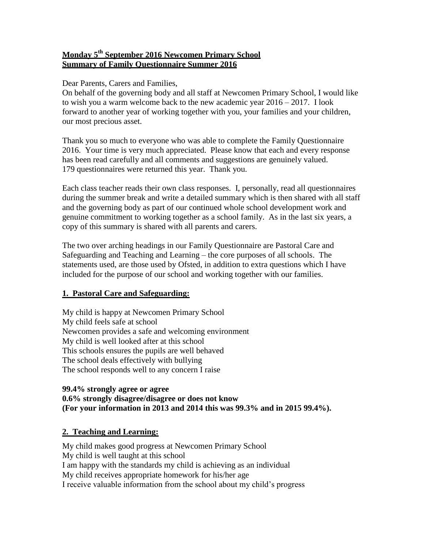### **Monday 5th September 2016 Newcomen Primary School Summary of Family Questionnaire Summer 2016**

### Dear Parents, Carers and Families,

On behalf of the governing body and all staff at Newcomen Primary School, I would like to wish you a warm welcome back to the new academic year 2016 – 2017. I look forward to another year of working together with you, your families and your children, our most precious asset.

Thank you so much to everyone who was able to complete the Family Questionnaire 2016. Your time is very much appreciated. Please know that each and every response has been read carefully and all comments and suggestions are genuinely valued. 179 questionnaires were returned this year. Thank you.

Each class teacher reads their own class responses. I, personally, read all questionnaires during the summer break and write a detailed summary which is then shared with all staff and the governing body as part of our continued whole school development work and genuine commitment to working together as a school family. As in the last six years, a copy of this summary is shared with all parents and carers.

The two over arching headings in our Family Questionnaire are Pastoral Care and Safeguarding and Teaching and Learning – the core purposes of all schools. The statements used, are those used by Ofsted, in addition to extra questions which I have included for the purpose of our school and working together with our families.

### **1. Pastoral Care and Safeguarding:**

My child is happy at Newcomen Primary School My child feels safe at school Newcomen provides a safe and welcoming environment My child is well looked after at this school This schools ensures the pupils are well behaved The school deals effectively with bullying The school responds well to any concern I raise

#### **99.4% strongly agree or agree 0.6% strongly disagree/disagree or does not know (For your information in 2013 and 2014 this was 99.3% and in 2015 99.4%).**

### **2. Teaching and Learning:**

My child makes good progress at Newcomen Primary School My child is well taught at this school I am happy with the standards my child is achieving as an individual My child receives appropriate homework for his/her age I receive valuable information from the school about my child's progress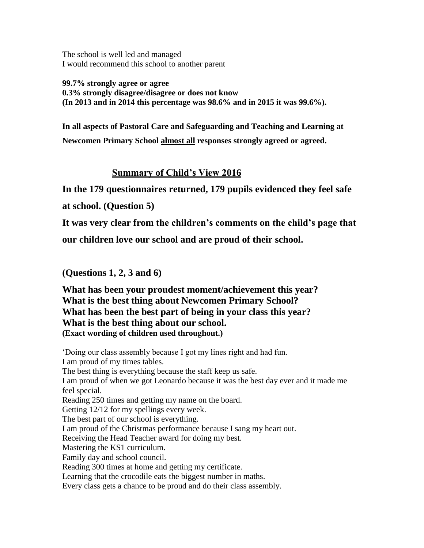The school is well led and managed I would recommend this school to another parent

**99.7% strongly agree or agree 0.3% strongly disagree/disagree or does not know (In 2013 and in 2014 this percentage was 98.6% and in 2015 it was 99.6%).**

**In all aspects of Pastoral Care and Safeguarding and Teaching and Learning at Newcomen Primary School almost all responses strongly agreed or agreed.**

# **Summary of Child's View 2016**

**In the 179 questionnaires returned, 179 pupils evidenced they feel safe** 

**at school. (Question 5)**

**It was very clear from the children's comments on the child's page that** 

**our children love our school and are proud of their school.** 

**(Questions 1, 2, 3 and 6)**

**What has been your proudest moment/achievement this year? What is the best thing about Newcomen Primary School? What has been the best part of being in your class this year? What is the best thing about our school. (Exact wording of children used throughout.)**

'Doing our class assembly because I got my lines right and had fun. I am proud of my times tables. The best thing is everything because the staff keep us safe. I am proud of when we got Leonardo because it was the best day ever and it made me feel special. Reading 250 times and getting my name on the board. Getting 12/12 for my spellings every week. The best part of our school is everything. I am proud of the Christmas performance because I sang my heart out. Receiving the Head Teacher award for doing my best. Mastering the KS1 curriculum. Family day and school council. Reading 300 times at home and getting my certificate. Learning that the crocodile eats the biggest number in maths. Every class gets a chance to be proud and do their class assembly.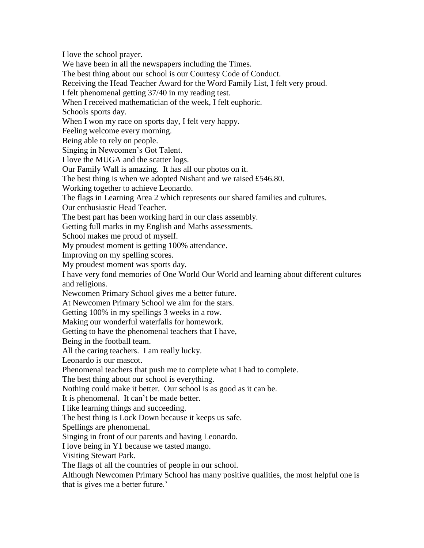I love the school prayer. We have been in all the newspapers including the Times. The best thing about our school is our Courtesy Code of Conduct. Receiving the Head Teacher Award for the Word Family List, I felt very proud. I felt phenomenal getting 37/40 in my reading test. When I received mathematician of the week, I felt euphoric. Schools sports day. When I won my race on sports day, I felt very happy. Feeling welcome every morning. Being able to rely on people. Singing in Newcomen's Got Talent. I love the MUGA and the scatter logs. Our Family Wall is amazing. It has all our photos on it. The best thing is when we adopted Nishant and we raised £546.80. Working together to achieve Leonardo. The flags in Learning Area 2 which represents our shared families and cultures. Our enthusiastic Head Teacher. The best part has been working hard in our class assembly. Getting full marks in my English and Maths assessments. School makes me proud of myself. My proudest moment is getting 100% attendance. Improving on my spelling scores. My proudest moment was sports day. I have very fond memories of One World Our World and learning about different cultures and religions. Newcomen Primary School gives me a better future. At Newcomen Primary School we aim for the stars. Getting 100% in my spellings 3 weeks in a row. Making our wonderful waterfalls for homework. Getting to have the phenomenal teachers that I have, Being in the football team. All the caring teachers. I am really lucky. Leonardo is our mascot. Phenomenal teachers that push me to complete what I had to complete. The best thing about our school is everything. Nothing could make it better. Our school is as good as it can be. It is phenomenal. It can't be made better. I like learning things and succeeding. The best thing is Lock Down because it keeps us safe. Spellings are phenomenal. Singing in front of our parents and having Leonardo. I love being in Y1 because we tasted mango. Visiting Stewart Park. The flags of all the countries of people in our school. Although Newcomen Primary School has many positive qualities, the most helpful one is

that is gives me a better future.'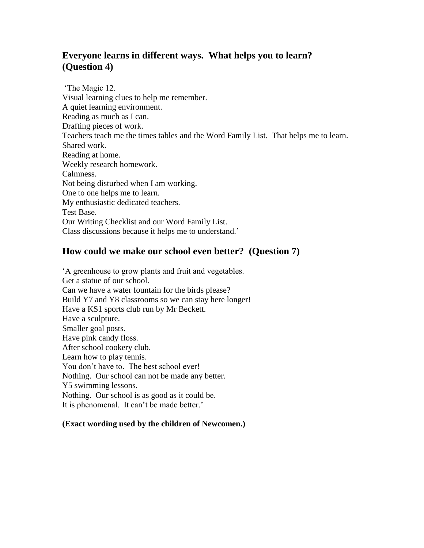# **Everyone learns in different ways. What helps you to learn? (Question 4)**

'The Magic 12. Visual learning clues to help me remember. A quiet learning environment. Reading as much as I can. Drafting pieces of work. Teachers teach me the times tables and the Word Family List. That helps me to learn. Shared work. Reading at home. Weekly research homework. Calmness. Not being disturbed when I am working. One to one helps me to learn. My enthusiastic dedicated teachers. Test Base. Our Writing Checklist and our Word Family List. Class discussions because it helps me to understand.'

### **How could we make our school even better? (Question 7)**

'A greenhouse to grow plants and fruit and vegetables. Get a statue of our school. Can we have a water fountain for the birds please? Build Y7 and Y8 classrooms so we can stay here longer! Have a KS1 sports club run by Mr Beckett. Have a sculpture. Smaller goal posts. Have pink candy floss. After school cookery club. Learn how to play tennis. You don't have to. The best school ever! Nothing. Our school can not be made any better. Y5 swimming lessons. Nothing. Our school is as good as it could be. It is phenomenal. It can't be made better.'

### **(Exact wording used by the children of Newcomen.)**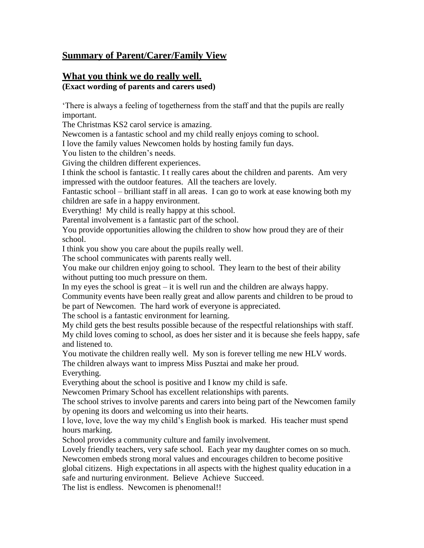# **Summary of Parent/Carer/Family View**

# **What you think we do really well.**

# **(Exact wording of parents and carers used)**

'There is always a feeling of togetherness from the staff and that the pupils are really important.

The Christmas KS2 carol service is amazing.

Newcomen is a fantastic school and my child really enjoys coming to school.

I love the family values Newcomen holds by hosting family fun days.

You listen to the children's needs.

Giving the children different experiences.

I think the school is fantastic. I t really cares about the children and parents. Am very impressed with the outdoor features. All the teachers are lovely.

Fantastic school – brilliant staff in all areas. I can go to work at ease knowing both my children are safe in a happy environment.

Everything! My child is really happy at this school.

Parental involvement is a fantastic part of the school.

You provide opportunities allowing the children to show how proud they are of their school.

I think you show you care about the pupils really well.

The school communicates with parents really well.

You make our children enjoy going to school. They learn to the best of their ability without putting too much pressure on them.

In my eyes the school is great – it is well run and the children are always happy.

Community events have been really great and allow parents and children to be proud to be part of Newcomen. The hard work of everyone is appreciated.

The school is a fantastic environment for learning.

My child gets the best results possible because of the respectful relationships with staff. My child loves coming to school, as does her sister and it is because she feels happy, safe and listened to.

You motivate the children really well. My son is forever telling me new HLV words. The children always want to impress Miss Pusztai and make her proud.

Everything.

Everything about the school is positive and I know my child is safe.

Newcomen Primary School has excellent relationships with parents.

The school strives to involve parents and carers into being part of the Newcomen family by opening its doors and welcoming us into their hearts.

I love, love, love the way my child's English book is marked. His teacher must spend hours marking.

School provides a community culture and family involvement.

Lovely friendly teachers, very safe school. Each year my daughter comes on so much. Newcomen embeds strong moral values and encourages children to become positive global citizens. High expectations in all aspects with the highest quality education in a safe and nurturing environment. Believe Achieve Succeed.

The list is endless. Newcomen is phenomenal!!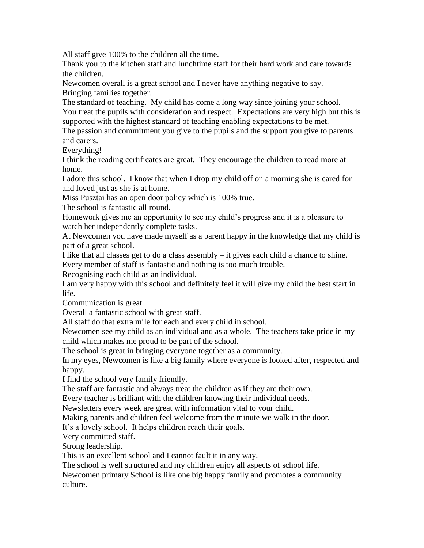All staff give 100% to the children all the time.

Thank you to the kitchen staff and lunchtime staff for their hard work and care towards the children.

Newcomen overall is a great school and I never have anything negative to say. Bringing families together.

The standard of teaching. My child has come a long way since joining your school. You treat the pupils with consideration and respect. Expectations are very high but this is supported with the highest standard of teaching enabling expectations to be met.

The passion and commitment you give to the pupils and the support you give to parents and carers.

Everything!

I think the reading certificates are great. They encourage the children to read more at home.

I adore this school. I know that when I drop my child off on a morning she is cared for and loved just as she is at home.

Miss Pusztai has an open door policy which is 100% true.

The school is fantastic all round.

Homework gives me an opportunity to see my child's progress and it is a pleasure to watch her independently complete tasks.

At Newcomen you have made myself as a parent happy in the knowledge that my child is part of a great school.

I like that all classes get to do a class assembly – it gives each child a chance to shine. Every member of staff is fantastic and nothing is too much trouble.

Recognising each child as an individual.

I am very happy with this school and definitely feel it will give my child the best start in life.

Communication is great.

Overall a fantastic school with great staff.

All staff do that extra mile for each and every child in school.

Newcomen see my child as an individual and as a whole. The teachers take pride in my child which makes me proud to be part of the school.

The school is great in bringing everyone together as a community.

In my eyes, Newcomen is like a big family where everyone is looked after, respected and happy.

I find the school very family friendly.

The staff are fantastic and always treat the children as if they are their own.

Every teacher is brilliant with the children knowing their individual needs.

Newsletters every week are great with information vital to your child.

Making parents and children feel welcome from the minute we walk in the door.

It's a lovely school. It helps children reach their goals.

Very committed staff.

Strong leadership.

This is an excellent school and I cannot fault it in any way.

The school is well structured and my children enjoy all aspects of school life.

Newcomen primary School is like one big happy family and promotes a community culture.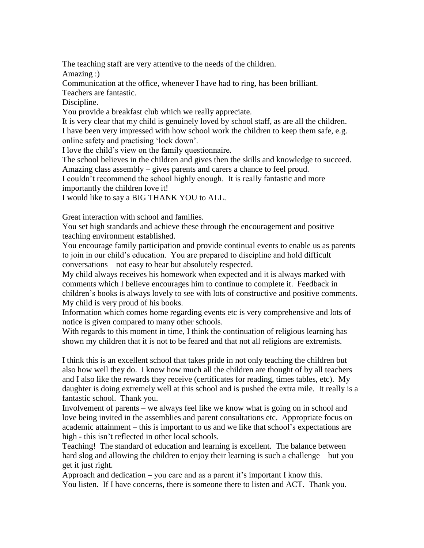The teaching staff are very attentive to the needs of the children.

Amazing :)

Communication at the office, whenever I have had to ring, has been brilliant.

Teachers are fantastic.

Discipline.

You provide a breakfast club which we really appreciate.

It is very clear that my child is genuinely loved by school staff, as are all the children. I have been very impressed with how school work the children to keep them safe, e.g. online safety and practising 'lock down'.

I love the child's view on the family questionnaire.

The school believes in the children and gives then the skills and knowledge to succeed. Amazing class assembly – gives parents and carers a chance to feel proud.

I couldn't recommend the school highly enough. It is really fantastic and more importantly the children love it!

I would like to say a BIG THANK YOU to ALL.

Great interaction with school and families.

You set high standards and achieve these through the encouragement and positive teaching environment established.

You encourage family participation and provide continual events to enable us as parents to join in our child's education. You are prepared to discipline and hold difficult conversations – not easy to hear but absolutely respected.

My child always receives his homework when expected and it is always marked with comments which I believe encourages him to continue to complete it. Feedback in children's books is always lovely to see with lots of constructive and positive comments. My child is very proud of his books.

Information which comes home regarding events etc is very comprehensive and lots of notice is given compared to many other schools.

With regards to this moment in time, I think the continuation of religious learning has shown my children that it is not to be feared and that not all religions are extremists.

I think this is an excellent school that takes pride in not only teaching the children but also how well they do. I know how much all the children are thought of by all teachers and I also like the rewards they receive (certificates for reading, times tables, etc). My daughter is doing extremely well at this school and is pushed the extra mile. It really is a fantastic school. Thank you.

Involvement of parents – we always feel like we know what is going on in school and love being invited in the assemblies and parent consultations etc. Appropriate focus on academic attainment – this is important to us and we like that school's expectations are high - this isn't reflected in other local schools.

Teaching! The standard of education and learning is excellent. The balance between hard slog and allowing the children to enjoy their learning is such a challenge – but you get it just right.

Approach and dedication – you care and as a parent it's important I know this. You listen. If I have concerns, there is someone there to listen and ACT. Thank you.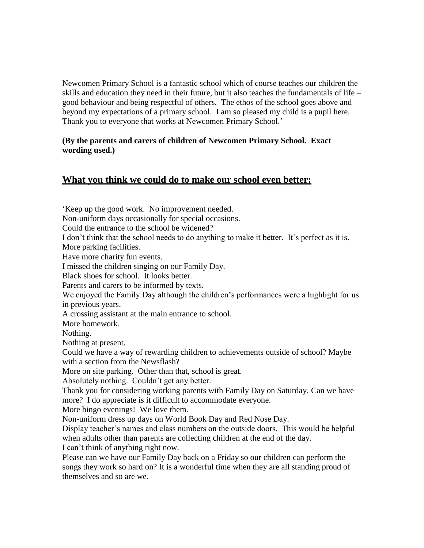Newcomen Primary School is a fantastic school which of course teaches our children the skills and education they need in their future, but it also teaches the fundamentals of life – good behaviour and being respectful of others. The ethos of the school goes above and beyond my expectations of a primary school. I am so pleased my child is a pupil here. Thank you to everyone that works at Newcomen Primary School.'

### **(By the parents and carers of children of Newcomen Primary School. Exact wording used.)**

# **What you think we could do to make our school even better:**

'Keep up the good work. No improvement needed. Non-uniform days occasionally for special occasions. Could the entrance to the school be widened? I don't think that the school needs to do anything to make it better. It's perfect as it is. More parking facilities. Have more charity fun events. I missed the children singing on our Family Day. Black shoes for school. It looks better. Parents and carers to be informed by texts. We enjoyed the Family Day although the children's performances were a highlight for us in previous years. A crossing assistant at the main entrance to school. More homework. Nothing. Nothing at present. Could we have a way of rewarding children to achievements outside of school? Maybe with a section from the Newsflash? More on site parking. Other than that, school is great. Absolutely nothing. Couldn't get any better. Thank you for considering working parents with Family Day on Saturday. Can we have more? I do appreciate is it difficult to accommodate everyone. More bingo evenings! We love them. Non-uniform dress up days on World Book Day and Red Nose Day. Display teacher's names and class numbers on the outside doors. This would be helpful when adults other than parents are collecting children at the end of the day. I can't think of anything right now. Please can we have our Family Day back on a Friday so our children can perform the songs they work so hard on? It is a wonderful time when they are all standing proud of themselves and so are we.